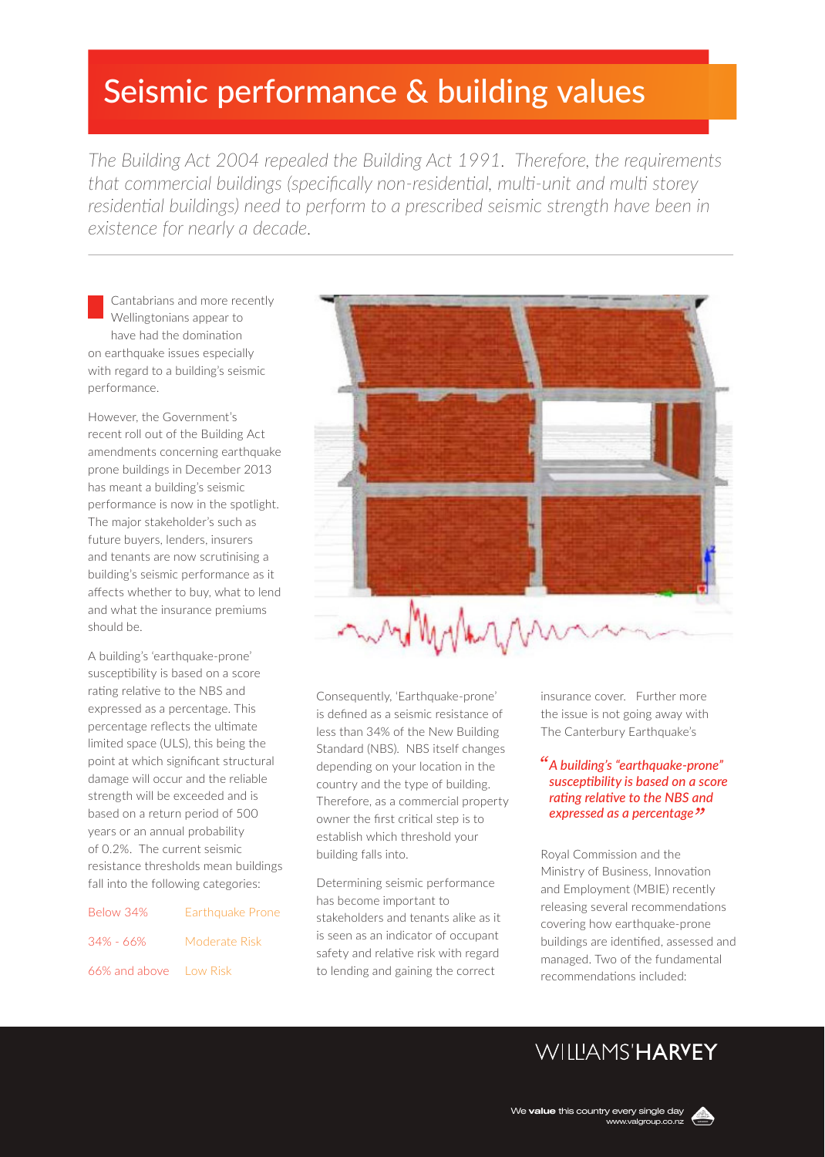# Seismic performance & building values

*The Building Act 2004 repealed the Building Act 1991. Therefore, the requirements that commercial buildings (specifically non-residential, multi-unit and multi storey*  residential buildings) need to perform to a prescribed seismic strength have been in *existence for nearly a decade.* 

Cantabrians and more recently Wellingtonians appear to have had the domination on earthquake issues especially with regard to a building's seismic performance.

However, the Government's recent roll out of the Building Act amendments concerning earthquake prone buildings in December 2013 has meant a building's seismic performance is now in the spotlight. The major stakeholder's such as future buyers, lenders, insurers and tenants are now scrutinising a building's seismic performance as it affects whether to buy, what to lend and what the insurance premiums should be.

A building's 'earthquake-prone' susceptibility is based on a score rating relative to the NBS and expressed as a percentage. This percentage reflects the ultimate limited space (ULS), this being the point at which significant structural damage will occur and the reliable strength will be exceeded and is based on a return period of 500 years or an annual probability of 0.2%. The current seismic resistance thresholds mean buildings fall into the following categories:

| Below 34%              | <b>Earthquake Prone</b> |
|------------------------|-------------------------|
| 34% - 66%              | Moderate Risk           |
| 66% and above Low Risk |                         |



Consequently, 'Earthquake-prone' is defined as a seismic resistance of less than 34% of the New Building Standard (NBS). NBS itself changes depending on your location in the country and the type of building. Therefore, as a commercial property owner the first critical step is to establish which threshold your building falls into.

Determining seismic performance has become important to stakeholders and tenants alike as it is seen as an indicator of occupant safety and relative risk with regard to lending and gaining the correct

insurance cover. Further more the issue is not going away with The Canterbury Earthquake's

### *A building's "earthquake-prone" susceptibility is based on a score rating relative to the NBS and expressed as a percentage*

Royal Commission and the Ministry of Business, Innovation and Employment (MBIE) recently releasing several recommendations covering how earthquake-prone buildings are identified, assessed and managed. Two of the fundamental recommendations included:

## **WILLIAMS'HARYEY**